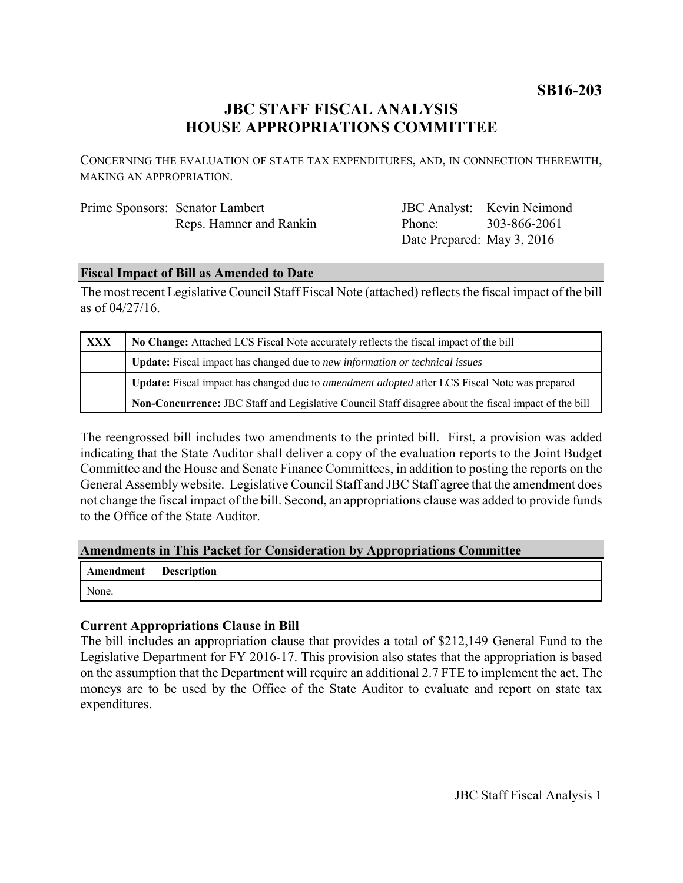**SB16-203**

# **JBC STAFF FISCAL ANALYSIS HOUSE APPROPRIATIONS COMMITTEE**

CONCERNING THE EVALUATION OF STATE TAX EXPENDITURES, AND, IN CONNECTION THEREWITH, MAKING AN APPROPRIATION.

| Prime Sponsors: Senator Lambert |
|---------------------------------|
| Reps. Hamner and Rankin         |

JBC Analyst: Kevin Neimond Phone: Date Prepared: May 3, 2016 303-866-2061

#### **Fiscal Impact of Bill as Amended to Date**

The most recent Legislative Council Staff Fiscal Note (attached) reflects the fiscal impact of the bill as of 04/27/16.

| <b>XXX</b> | No Change: Attached LCS Fiscal Note accurately reflects the fiscal impact of the bill                       |  |
|------------|-------------------------------------------------------------------------------------------------------------|--|
|            | Update: Fiscal impact has changed due to new information or technical issues                                |  |
|            | <b>Update:</b> Fiscal impact has changed due to <i>amendment adopted</i> after LCS Fiscal Note was prepared |  |
|            | Non-Concurrence: JBC Staff and Legislative Council Staff disagree about the fiscal impact of the bill       |  |

The reengrossed bill includes two amendments to the printed bill. First, a provision was added indicating that the State Auditor shall deliver a copy of the evaluation reports to the Joint Budget Committee and the House and Senate Finance Committees, in addition to posting the reports on the General Assembly website. Legislative Council Staff and JBC Staff agree that the amendment does not change the fiscal impact of the bill. Second, an appropriations clause was added to provide funds to the Office of the State Auditor.

### **Amendments in This Packet for Consideration by Appropriations Committee**

| Amendment Description |  |
|-----------------------|--|
| None.                 |  |

### **Current Appropriations Clause in Bill**

The bill includes an appropriation clause that provides a total of \$212,149 General Fund to the Legislative Department for FY 2016-17. This provision also states that the appropriation is based on the assumption that the Department will require an additional 2.7 FTE to implement the act. The moneys are to be used by the Office of the State Auditor to evaluate and report on state tax expenditures.